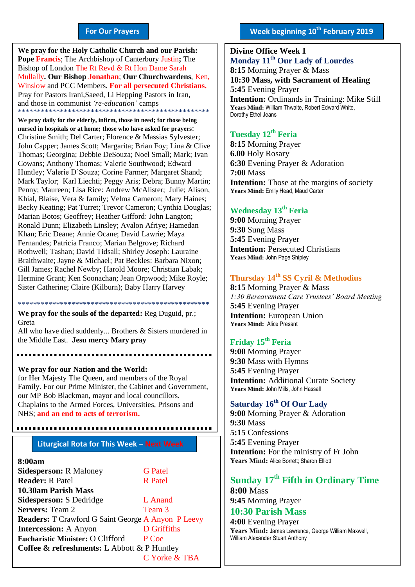#### **For Our Prayers**

arted Mullally**. Our Bishop Jonathan**; **Our Churchwardens**, Ken, **We pray for the Holy Catholic Church and our Parish: Pope Francis**; The Archbishop of Canterbury Justin**;** The Bishop of London The Rt Revd & Rt Hon Dame Sarah Winslow and PCC Members. **For all persecuted Christians.** Pray for Pastors Irani,Saeed, Li Hepping Pastors in Iran, and those in communist *'re-education'* camps \*\*\*\*\*\*\*\*\*\*\*\*\*\*\*\*\*\*\*\*\*\*\*\*\*\*\*\*\*\*\*\*\*\*\*\*\*\*\*\*\*\*\*\*\*\*\*\*\*\*

**We pray daily for the elderly, infirm, those in need; for those being nursed in hospitals or at home; those who have asked for prayers**: Christine Smith; Del Carter; Florence & Massias Sylvester; John Capper; James Scott; Margarita; Brian Foy; Lina & Clive Thomas; Georgina; Debbie DeSouza; Noel Small; Mark; Ivan Cowans; Anthony Thomas; Valerie Southwood; Edward Huntley; Valerie D'Souza; Corine Farmer; Margaret Shand; Mark Taylor; Karl Liechti; Peggy Aris; Debra; Bunny Martin; Penny; Maureen; Lisa Rice: Andrew McAlister; Julie; Alison, Khial, Blaise, Vera & family; Velma Cameron; Mary Haines; Becky Keating; Pat Turret; Trevor Cameron; Cynthia Douglas; Marian Botos; Geoffrey; Heather Gifford: John Langton; Ronald Dunn; Elizabeth Linsley; Avalon Afriye; Hamedan Khan; Eric Deane; Annie Ocane; David Lawrie; Maya Fernandes; Patricia Franco; Marian Belgrove; Richard Rothwell; Tashan; David Tidsall; Shirley Joseph: Lauraine Braithwaite; Jayne & Michael; Pat Beckles: Barbara Nixon; Gill James; Rachel Newby; Harold Moore; Christian Labak; Hermine Grant; Ken Soonachan; Jean Orpwood; Mike Royle; Sister Catherine; Claire (Kilburn); Baby Harry Harvey

\*\*\*\*\*\*\*\*\*\*\*\*\*\*\*\*\*\*\*\*\*\*\*\*\*\*\*\*\*\*\*\*\*\*\*\*\*\*\*\*\*\*\*\*\*\*\*\*\*\* **We pray for the souls of the departed:** Reg Duguid, pr.; Greta

All who have died suddenly... Brothers & Sisters murdered in the Middle East. **Jesu mercy Mary pray**

**We pray for our Nation and the World:** for Her Majesty The Queen, and members of the Royal Family. For our Prime Minister, the Cabinet and Government, our MP Bob Blackman, mayor and local councillors. Chaplains to the Armed Forces, Universities, Prisons and NHS; **and an end to acts of terrorism.**

### **Liturgical Rota for This Week – Next Week**

#### **8:00am**

| <b>Sidesperson: R Maloney</b>                             | <b>G</b> Patel |
|-----------------------------------------------------------|----------------|
| <b>Reader: R Patel</b>                                    | <b>R</b> Patel |
| 10.30am Parish Mass                                       |                |
| <b>Sidesperson: S Dedridge</b>                            | L Anand        |
| <b>Servers: Team 2</b>                                    | Team 3         |
| <b>Readers:</b> T Crawford G Saint George A Anyon P Leevy |                |
| <b>Intercession: A Anyon</b>                              | D Griffiths    |
| Eucharistic Minister: O Clifford                          | P Coe          |
| <b>Coffee &amp; refreshments:</b> L Abbott & P Huntley    |                |
|                                                           | C Yorke & TBA  |

**Divine Office Week 1 Monday 11th Our Lady of Lourdes 8:15** Morning Prayer & Mass **10:30 Mass, with Sacrament of Healing 5:45** Evening Prayer **Intention:** Ordinands in Training: Mike Still **Years Mind:** William Thwaite, Robert Edward White, Dorothy Ethel Jeans

## **Tuesday 12th Feria**

**8:15** Morning Prayer **6.00** Holy Rosary **6:30** Evening Prayer & Adoration **7:00** Mass **Intention:** Those at the margins of society Years Mind: Emily Head, Maud Carter

### **Wednesday 13th Feria**

**9:00** Morning Prayer **9:30** Sung Mass **5:45** Evening Prayer **Intention: Persecuted Christians Years Mind:** John Page Shipley

#### **Thursday 14th SS Cyril & Methodius**

**8:15** Morning Prayer & Mass *1:30 Bereavement Care Trustees' Board Meeting* **5:45** Evening Prayer **Intention:** European Union **Years Mind:** Alice Presant

## **Friday 15th Feria**

**9:00** Morning Prayer **9:30** Mass with Hymns **5:45** Evening Prayer **Intention:** Additional Curate Society **Years Mind:** John Mills, John Hassall

## **Saturday 16th Of Our Lady**

**9:00** Morning Prayer & Adoration **9:30** Mass **5:15** Confessions **5:45** Evening Prayer **Intention:** For the ministry of Fr John **Years Mind:** Alice Borrett; Sharon Elliott

#### **Sunday 17 th Fifth in Ordinary Time 8:00** Mass

**9:45** Morning Prayer

#### **10:30 Parish Mass 4:00** Evening Prayer

**Years Mind:** James Lawrence, George William Maxwell, William Alexander Stuart Anthony